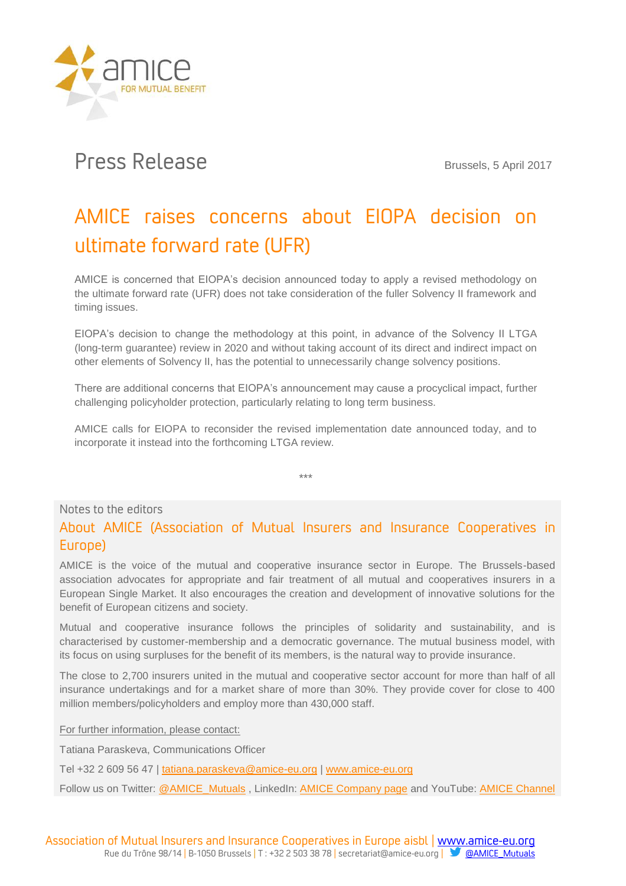

## Press Release Brussels, 5 April 2017

## AMICE raises concerns about EIOPA decision on ultimate forward rate (UFR)

AMICE is concerned that EIOPA's decision announced today to apply a revised methodology on the ultimate forward rate (UFR) does not take consideration of the fuller Solvency II framework and timing issues.

EIOPA's decision to change the methodology at this point, in advance of the Solvency II LTGA (long-term guarantee) review in 2020 and without taking account of its direct and indirect impact on other elements of Solvency II, has the potential to unnecessarily change solvency positions.

There are additional concerns that EIOPA's announcement may cause a procyclical impact, further challenging policyholder protection, particularly relating to long term business.

AMICE calls for EIOPA to reconsider the revised implementation date announced today, and to incorporate it instead into the forthcoming LTGA review.

\*\*\*

## Notes to the editors

## About AMICE (Association of Mutual Insurers and Insurance Cooperatives in Europe)

AMICE is the voice of the mutual and cooperative insurance sector in Europe. The Brussels-based association advocates for appropriate and fair treatment of all mutual and cooperatives insurers in a European Single Market. It also encourages the creation and development of innovative solutions for the benefit of European citizens and society.

Mutual and cooperative insurance follows the principles of solidarity and sustainability, and is characterised by customer-membership and a democratic governance. The mutual business model, with its focus on using surpluses for the benefit of its members, is the natural way to provide insurance.

The close to 2,700 insurers united in the mutual and cooperative sector account for more than half of all insurance undertakings and for a market share of more than 30%. They provide cover for close to 400 million members/policyholders and employ more than 430,000 staff.

For further information, please contact:

Tatiana Paraskeva, Communications Officer

Tel +32 2 609 56 47 | [tatiana.paraskeva@amice-eu.org](mailto:tatiana.paraskeva@amice-eu.org) [| www.amice-eu.org](http://www.amice-eu.org/)

Follow us on Twitter: [@AMICE\\_Mutuals](https://twitter.com/AMICE_Mutuals), LinkedIn: [AMICE Company page](https://www.linkedin.com/company/amice-mutuals) and YouTube: [AMICE Channel](http://bit.ly/YouTube_AMICEchannel)